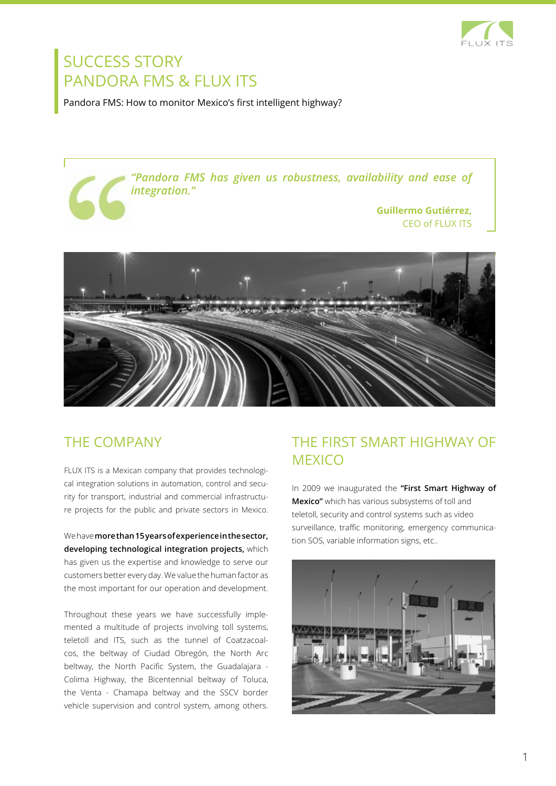

# SUCCESS STORY PANDORA FMS & FLUX ITS

Pandora FMS: How to monitor Mexico's first intelligent highway?

*"Pandora FMS has given us robustness, availability and ease of integration."*

> **Guillermo Gutiérrez,** CEO of FLUX ITS



### The company

FLUX ITS is a Mexican company that provides technological integration solutions in automation, control and security for transport, industrial and commercial infrastructure projects for the public and private sectors in Mexico.

We have **more than 15 years of experience in the sector, developing technological integration projects,** which has given us the expertise and knowledge to serve our customers better every day. We value the human factor as the most important for our operation and development.

Throughout these years we have successfully implemented a multitude of projects involving toll systems, teletoll and ITS, such as the tunnel of Coatzacoalcos, the beltway of Ciudad Obregón, the North Arc beltway, the North Pacific System, the Guadalajara - Colima Highway, the Bicentennial beltway of Toluca, the Venta - Chamapa beltway and the SSCV border vehicle supervision and control system, among others.

## The First Smart Highway of **MEXICO**

In 2009 we inaugurated the **"First Smart Highway of Mexico"** which has various subsystems of toll and teletoll, security and control systems such as video surveillance, traffic monitoring, emergency communication SOS, variable information signs, etc..

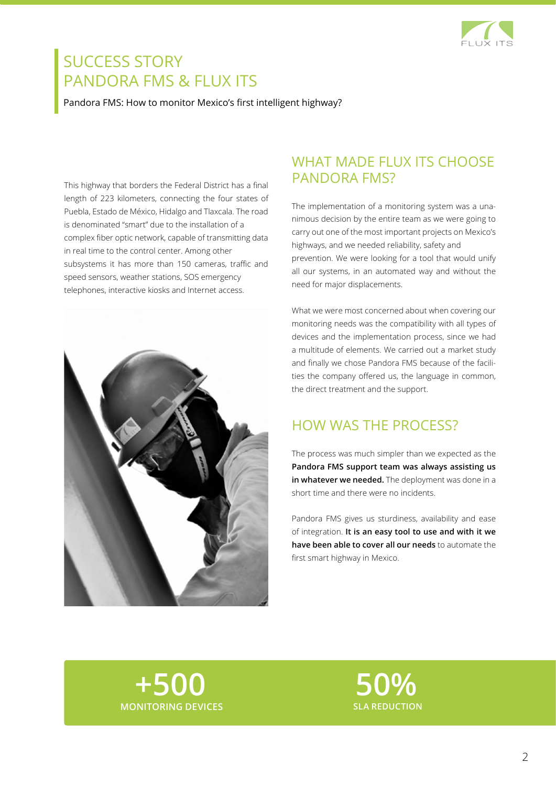

# SUCCESS STORY PANDORA FMS & FLUX ITS

Pandora FMS: How to monitor Mexico's first intelligent highway?

This highway that borders the Federal District has a final length of 223 kilometers, connecting the four states of Puebla, Estado de México, Hidalgo and Tlaxcala. The road is denominated "smart" due to the installation of a complex fiber optic network, capable of transmitting data in real time to the control center. Among other subsystems it has more than 150 cameras, traffic and speed sensors, weather stations, SOS emergency telephones, interactive kiosks and Internet access.



### WHAT MADE FLUX ITS CHOOSE PANDORA FMS?

The implementation of a monitoring system was a unanimous decision by the entire team as we were going to carry out one of the most important projects on Mexico's highways, and we needed reliability, safety and prevention. We were looking for a tool that would unify all our systems, in an automated way and without the need for major displacements.

What we were most concerned about when covering our monitoring needs was the compatibility with all types of devices and the implementation process, since we had a multitude of elements. We carried out a market study and finally we chose Pandora FMS because of the facilities the company offered us, the language in common, the direct treatment and the support.

### How was the process?

The process was much simpler than we expected as the **Pandora FMS support team was always assisting us in whatever we needed.** The deployment was done in a short time and there were no incidents.

Pandora FMS gives us sturdiness, availability and ease of integration. **It is an easy tool to use and with it we have been able to cover all our needs** to automate the first smart highway in Mexico.